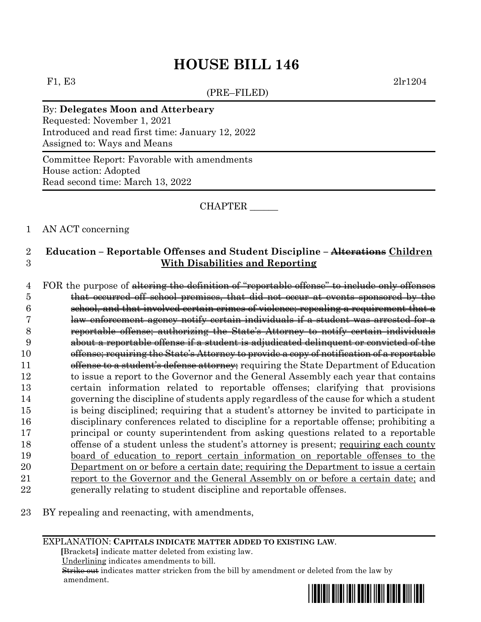(PRE–FILED)

F1, E3 2lr1204

## By: **Delegates Moon and Atterbeary**

Requested: November 1, 2021 Introduced and read first time: January 12, 2022 Assigned to: Ways and Means

Committee Report: Favorable with amendments House action: Adopted Read second time: March 13, 2022

CHAPTER \_\_\_\_\_\_

### 1 AN ACT concerning

## 2 **Education – Reportable Offenses and Student Discipline – Alterations Children**  3 **With Disabilities and Reporting**

4 FOR the purpose of altering the definition of "reportable offense" to include only offenses that occurred off school premises, that did not occur at events sponsored by the school, and that involved certain crimes of violence; repealing a requirement that a law enforcement agency notify certain individuals if a student was arrested for a reportable offense; authorizing the State's Attorney to notify certain individuals about a reportable offense if a student is adjudicated delinquent or convicted of the offense; requiring the State's Attorney to provide a copy of notification of a reportable **offense to a student's defense attorney**; requiring the State Department of Education to issue a report to the Governor and the General Assembly each year that contains certain information related to reportable offenses; clarifying that provisions governing the discipline of students apply regardless of the cause for which a student is being disciplined; requiring that a student's attorney be invited to participate in disciplinary conferences related to discipline for a reportable offense; prohibiting a principal or county superintendent from asking questions related to a reportable 18 offense of a student unless the student's attorney is present; requiring each county board of education to report certain information on reportable offenses to the Department on or before a certain date; requiring the Department to issue a certain report to the Governor and the General Assembly on or before a certain date; and generally relating to student discipline and reportable offenses.

23 BY repealing and reenacting, with amendments,

#### EXPLANATION: **CAPITALS INDICATE MATTER ADDED TO EXISTING LAW**.

 **[**Brackets**]** indicate matter deleted from existing law.

Underlining indicates amendments to bill.

 Strike out indicates matter stricken from the bill by amendment or deleted from the law by amendment.

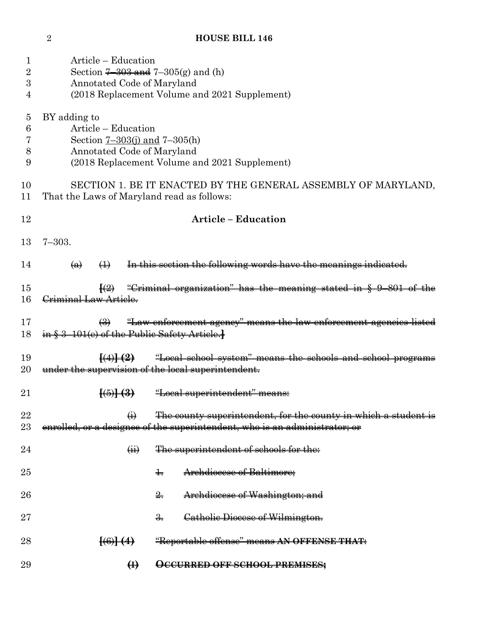| 1              | Article – Education                                                                                        |  |  |  |  |
|----------------|------------------------------------------------------------------------------------------------------------|--|--|--|--|
| 2              | Section $7-303$ and $7-305(g)$ and (h)                                                                     |  |  |  |  |
| 3              | Annotated Code of Maryland                                                                                 |  |  |  |  |
| 4              | (2018 Replacement Volume and 2021 Supplement)                                                              |  |  |  |  |
|                |                                                                                                            |  |  |  |  |
|                |                                                                                                            |  |  |  |  |
| $\overline{5}$ | BY adding to                                                                                               |  |  |  |  |
| 6              | Article – Education                                                                                        |  |  |  |  |
| 7              | Section $7 - 303(j)$ and $7 - 305(h)$                                                                      |  |  |  |  |
| 8              | Annotated Code of Maryland                                                                                 |  |  |  |  |
| 9              | (2018 Replacement Volume and 2021 Supplement)                                                              |  |  |  |  |
|                |                                                                                                            |  |  |  |  |
| 10             | SECTION 1. BE IT ENACTED BY THE GENERAL ASSEMBLY OF MARYLAND,                                              |  |  |  |  |
| 11             | That the Laws of Maryland read as follows:                                                                 |  |  |  |  |
|                |                                                                                                            |  |  |  |  |
| 12             | <b>Article - Education</b>                                                                                 |  |  |  |  |
|                |                                                                                                            |  |  |  |  |
| 13             | $7 - 303.$                                                                                                 |  |  |  |  |
|                |                                                                                                            |  |  |  |  |
| 14             | In this section the following words have the meanings indicated.<br>$\leftrightarrow$<br>$\left( a\right)$ |  |  |  |  |
|                |                                                                                                            |  |  |  |  |
| 15             |                                                                                                            |  |  |  |  |
|                | "Criminal organization" has the meaning stated in § 9-801 of the                                           |  |  |  |  |
| 16             | Criminal Law Article.                                                                                      |  |  |  |  |
|                |                                                                                                            |  |  |  |  |
| 17             | "Law enforcement agency" means the law enforcement agencies listed<br>$\left(\frac{1}{2}\right)$           |  |  |  |  |
| 18             | in § 3-101(e) of the Public Safety Article.                                                                |  |  |  |  |
|                |                                                                                                            |  |  |  |  |
| 19             | "Local school system" means the schools and school programs<br>$\{(\cdot)\}\ (2)$                          |  |  |  |  |
| 20             | under the supervision of the local superintendent.                                                         |  |  |  |  |
|                |                                                                                                            |  |  |  |  |
| $21\,$         | <u> "Local superintendent" means:</u>                                                                      |  |  |  |  |
|                |                                                                                                            |  |  |  |  |
| 22             | The county superintendent, for the county in which a student is<br>$\ddot{\Theta}$                         |  |  |  |  |
| $23\,$         | enrolled, or a designee of the superintendent, who is an administrator; or                                 |  |  |  |  |
|                |                                                                                                            |  |  |  |  |
| 24             | $\overleftrightarrow{H}$<br>The superintendent of schools for the:                                         |  |  |  |  |
|                |                                                                                                            |  |  |  |  |
| $25\,$         | Archdiocese of Baltimore;<br>$\ddagger$                                                                    |  |  |  |  |
|                |                                                                                                            |  |  |  |  |
| $26\,$         | Archdiocese of Washington; and<br>$\frac{2}{2}$                                                            |  |  |  |  |
|                |                                                                                                            |  |  |  |  |
| $27\,$         |                                                                                                            |  |  |  |  |
|                | Catholic Diocese of Wilmington.<br>$\frac{3}{2}$ .                                                         |  |  |  |  |
|                |                                                                                                            |  |  |  |  |
| $^{28}$        | "Reportable offense" means AN OFFENSE THAT:<br>$\left[\left(6\right)\right]\left(4\right)$                 |  |  |  |  |
|                |                                                                                                            |  |  |  |  |
| 29             | $\bigoplus$<br>OCCURRED OFF SCHOOL PREMISES;                                                               |  |  |  |  |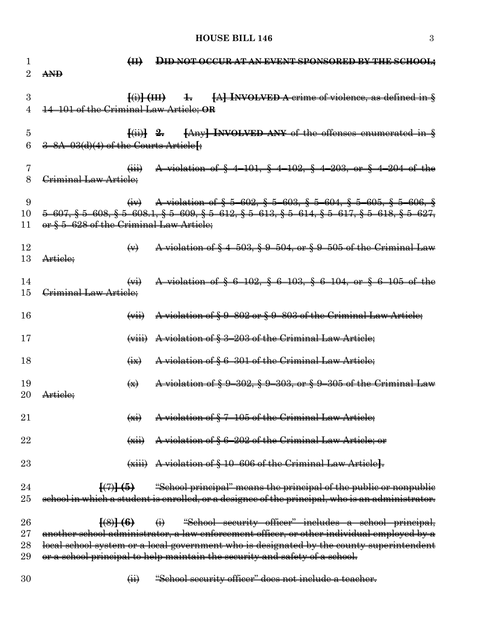## **HOUSE BILL 146** 3

| $\mathbf{I}$<br>2 | <b>AND</b>                                        | H                               | <b>DID NOT OCCURATAN EVENT SPONSORED BY THE SCHOOL:</b>                                                                                                                                                                 |
|-------------------|---------------------------------------------------|---------------------------------|-------------------------------------------------------------------------------------------------------------------------------------------------------------------------------------------------------------------------|
| 3<br>4            | 14-101 of the Criminal Law Article; OR            |                                 | $\overline{A(i)}$ $\overline{A(i)}$ + $\overline{A(i)}$ $\overline{A(i)}$ $\overline{A(i)}$ $\overline{A(i)}$ as defined in $\frac{1}{2}$                                                                               |
| 5<br>6            | 3-8A-03(d)(4) of the Courts Article <sup>[4</sup> |                                 | $\{\{\text{iii}\}\$ $\cong$ $\{Any\}$ INVOLVED ANY of the offenses enumerated in $\S$                                                                                                                                   |
| 7<br>8            | Criminal Law Article:                             |                                 | A violation of § 4-101, § 4-102, § 4-203, or § 4-204 of the                                                                                                                                                             |
| 9<br>10<br>11     | or § 5-628 of the Criminal Law Article;           |                                 | $\frac{1}{2}$ A violation of § 5 602, § 5 603, § 5 604, § 5 605, § 5 606, §<br>$5-607,$ $\S$ $5-608,$ $\S$ $5-608.1,$ $\S$ $5-609,$ $\S$ $5-612,$ $\S$ $5-613,$ $\S$ $5-614,$ $\S$ $5-617,$ $\S$ $5-618,$ $\S$ $5-627,$ |
| 12<br>13          | Article:                                          | $\leftrightarrow$               | A violation of § 4-503, § 9-504, or § 9-505 of the Criminal Law                                                                                                                                                         |
| 14<br>15          | Criminal Law Article;                             |                                 | A violation of § 6-102, § 6-103, § 6-104, or § 6-105 of the                                                                                                                                                             |
| 16                |                                                   |                                 | $(vii)$ A violation of $\S 9-802$ or $\S 9-803$ of the Criminal Law Article;                                                                                                                                            |
| 17                |                                                   |                                 | $(viii)$ A violation of $\S 3-203$ of the Criminal Law Article;                                                                                                                                                         |
| 18                |                                                   | $\overline{H}$                  | A violation of § 6-301 of the Criminal Law Article;                                                                                                                                                                     |
| 19<br>20          | Article;                                          | $\left( \frac{1}{2} \right)$    | A violation of § 9-302, § 9-303, or § 9-305 of the Criminal Law                                                                                                                                                         |
| 21                |                                                   | $\overline{(\overline{X})}$     | A violation of §7-105 of the Criminal Law Article;                                                                                                                                                                      |
| 22                |                                                   | $\left(\frac{1}{2}x + 1\right)$ | A violation of § 6-202 of the Criminal Law Article; or                                                                                                                                                                  |
| 23                |                                                   |                                 | $(xiii)$ A violation of $§$ 10–606 of the Criminal Law Article.                                                                                                                                                         |
| 24                |                                                   |                                 | $\left[\frac{7}{7}\right]$ (5) "School principal" means the principal of the public or nonpublic                                                                                                                        |
| 25                |                                                   |                                 | school in which a student is enrolled, or a designee of the principal, who is an administrator.                                                                                                                         |
| 26<br>27          |                                                   | $\frac{[8]}{6}$                 | $\leftrightarrow$ "School security officer" includes a school principal,<br>another school administrator, a law enforcement officer, or other individual employed by a                                                  |
| 28                |                                                   |                                 | local school system or a local government who is designated by the county superintendent                                                                                                                                |
| 29                |                                                   |                                 | or a school principal to help maintain the security and safety of a school.                                                                                                                                             |
| 30                |                                                   | $\overline{(\overline{H})}$     | "School security officer" does not include a teacher.                                                                                                                                                                   |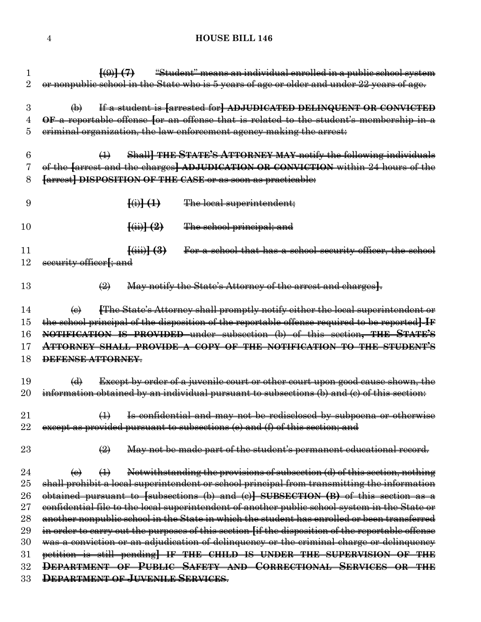| 1              | "Student" means an individual enrolled in a public school system<br>$\left\{(\theta) \right\}$ (7)                          |
|----------------|-----------------------------------------------------------------------------------------------------------------------------|
| $\overline{2}$ | or nonpublic school in the State who is 5 years of age or older and under 22 years of age.                                  |
| 3              | If a student is [arrested for] ADJUDICATED DELINQUENT OR CONVICTED<br>$\bigoplus$                                           |
| 4              | OF a reportable offense for an offense that is related to the student's membership in a                                     |
| 5              | eriminal organization, the law enforcement agency making the arrest.                                                        |
|                |                                                                                                                             |
| 6              | Shall THE STATE'S ATTORNEY MAY notify the following individuals<br>$\bigoplus$                                              |
| 7              | of the farrest and the charges] ADJUDICATION OR CONVICTION within 24 hours of the                                           |
| 8              | <b>farrest] DISPOSITION OF THE CASE or as soon as practicable:</b>                                                          |
| 9              | $\frac{f(i)}{f(i)}$<br>The local superintendent;                                                                            |
| 10             | $\frac{(-i)}{+(-i)}$<br>The school principal; and                                                                           |
| 11             | For a school that has a school security officer, the school<br>$\frac{(\text{iii})-(3)}{(\text{iv})}$                       |
| 12             | security officer <sub>f</sub> ; and                                                                                         |
|                |                                                                                                                             |
| 13             | May notify the State's Attorney of the arrest and charges.<br>$\left(\frac{1}{2}\right)$                                    |
|                |                                                                                                                             |
| 14             | <b>The State's Attorney shall promptly notify either the local superintendent or</b><br>$\left(\mathbf{e}\right)$           |
| 15             | the school principal of the disposition of the reportable offense required to be reported IF                                |
| 16             | NOTIFICATION IS PROVIDED under subsection (b) of this section, THE STATE'S                                                  |
| 17             | <b>ATTORNEY SHALL PROVIDE A COPY OF THE NOTIFICATION TO THE STUDENT'S</b>                                                   |
| 18             | DEFENSE ATTORNEY.                                                                                                           |
| 19             | <b>Except by order of a juvenile court or other court upon good cause shown, the</b><br>$\bigoplus$                         |
| $20\,$         | information obtained by an individual pursuant to subsections (b) and (c) of this section:                                  |
|                |                                                                                                                             |
| $21\,$         | Is confidential and may not be redisclosed by subpoena or otherwise<br>$\leftrightarrow$                                    |
| $22\,$         | except as provided pursuant to subsections (e) and (f) of this section; and                                                 |
| $23\,$         | May not be made part of the student's permanent educational record.<br>$\left(\frac{\mathcal{Q}}{\mathcal{Q}}\right)$       |
| 24             | Notwithstanding the provisions of subsection (d) of this section, nothing<br>$\leftrightarrow$<br>$\left(\mathbf{e}\right)$ |
| $25\,$         | shall prohibit a local superintendent or school principal from transmitting the information                                 |
| 26             | obtained pursuant to $[subsections (b) and (c)] SUBSECTION (B) of this section as a$                                        |
| $27\,$         | confidential file to the local superintendent of another public school system in the State or                               |
| 28             | another nonpublic school in the State in which the student has enrolled or been transferred                                 |
| 29             | in order to carry out the purposes of this section [if the disposition of the reportable offense                            |
| 30             | was a conviction or an adjudication of delinquency or the criminal charge or delinquency                                    |
| $31\,$         | petition is still pending] IF THE CHILD IS UNDER THE SUPERVISION OF THE                                                     |
| 32             | DEPARTMENT OF PUBLIC SAFETY AND CORRECTIONAL SERVICES OR THE                                                                |
| 33             | DEPARTMENT OF JUVENILE SERVICES.                                                                                            |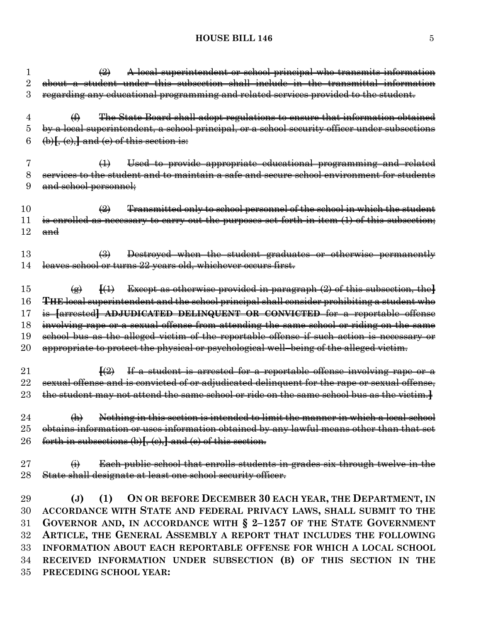# **HOUSE BILL 146** 5

|          | A local superintendent or school principal who transmits information<br>$\bigoplus$                                |
|----------|--------------------------------------------------------------------------------------------------------------------|
| $\rm{2}$ | about a student under this subsection shall include in the transmittal information                                 |
| 3        | regarding any educational programming and related services provided to the student.                                |
| 4        | The State Board shall adopt regulations to ensure that information obtained<br>$\bigoplus$                         |
| 5        | by a local superintendent, a school principal, or a school security officer under subsections                      |
| 6        | $\left(\phi\right)$ , $\left(\phi\right)$ , and $\left(\phi\right)$ of this section is:                            |
| 7        | Used to provide appropriate educational programming and related<br>$\bigoplus$                                     |
| 8        | services to the student and to maintain a safe and secure school environment for students                          |
| 9        | and school personnel;                                                                                              |
| 10       | Transmitted only to school personnel of the school in which the student<br>$\bigoplus$                             |
| 11       | is enrolled as necessary to carry out the purposes set forth in item (1) of this subsection;                       |
| 12       | $\mathbf{and}$                                                                                                     |
| 13       | Destroyed when the student graduates or otherwise permanently<br>$\bigoplus$                                       |
| 14       | leaves school or turns 22 years old, whichever occurs first.                                                       |
|          |                                                                                                                    |
| 15       | Except as otherwise provided in paragraph $(2)$ of this subsection, the<br>$\ket{4}$<br>$\left( \bigoplus \right)$ |
| 16       | THE local superintendent and the school principal shall consider prohibiting a student who                         |
| $17\,$   | is [arrested] ADJUDICATED DELINQUENT OR CONVICTED for a reportable offense                                         |
| 18       | involving rape or a sexual offense from attending the same school or riding on the same                            |
| 19       | school bus as the alleged victim of the reportable offense if such action is necessary or                          |
| $20\,$   | appropriate to protect the physical or psychological well-being of the alleged victim.                             |
| 21       | If a student is arrested for a reportable offense involving rape or a<br>$\left\{ \left( 2\right)$                 |
| $22\,$   | sexual offense and is convicted of or adjudicated delinquent for the rape or sexual offense,                       |
| $23\,$   | the student may not attend the same school or ride on the same school bus as the victim.                           |
|          |                                                                                                                    |
| 24       | Nothing in this section is intended to limit the manner in which a local school<br>$\bigoplus$                     |
| $25\,$   | obtains information or uses information obtained by any lawful means other than that set                           |
| $26\,$   | forth in subsections $(b)$ $[$ , $(c)$ , $]$ and $(e)$ of this section.                                            |
| $27\,$   | Each public school that enrolls students in grades six through twelve in the<br>$\leftrightarrow$                  |
| 28       | State shall designate at least one school security officer.                                                        |
|          |                                                                                                                    |
| 29       | (1) ON OR BEFORE DECEMBER 30 EACH YEAR, THE DEPARTMENT, IN<br>$(\mathbf{J})$                                       |
| 30       | ACCORDANCE WITH STATE AND FEDERAL PRIVACY LAWS, SHALL SUBMIT TO THE                                                |
| $31\,$   | GOVERNOR AND, IN ACCORDANCE WITH $\S$ 2-1257 OF THE STATE GOVERNMENT                                               |
| $32\,$   | ARTICLE, THE GENERAL ASSEMBLY A REPORT THAT INCLUDES THE FOLLOWING                                                 |
| 33       | INFORMATION ABOUT EACH REPORTABLE OFFENSE FOR WHICH A LOCAL SCHOOL                                                 |
| 34       | RECEIVED INFORMATION UNDER SUBSECTION (B) OF THIS SECTION IN THE                                                   |
| $35\,$   | PRECEDING SCHOOL YEAR:                                                                                             |
|          |                                                                                                                    |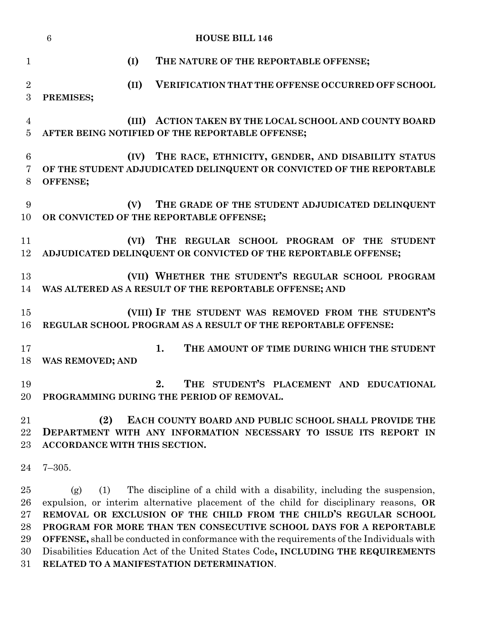|                                      | <b>HOUSE BILL 146</b><br>$6\phantom{1}6$ |       |                                                                                                                                                                                                                                                                                                                                                                                                                                                                                                    |  |  |  |
|--------------------------------------|------------------------------------------|-------|----------------------------------------------------------------------------------------------------------------------------------------------------------------------------------------------------------------------------------------------------------------------------------------------------------------------------------------------------------------------------------------------------------------------------------------------------------------------------------------------------|--|--|--|
| $\mathbf{1}$                         |                                          | (I)   | THE NATURE OF THE REPORTABLE OFFENSE;                                                                                                                                                                                                                                                                                                                                                                                                                                                              |  |  |  |
| $\overline{2}$<br>3                  | PREMISES;                                | (II)  | VERIFICATION THAT THE OFFENSE OCCURRED OFF SCHOOL                                                                                                                                                                                                                                                                                                                                                                                                                                                  |  |  |  |
| 4<br>5                               |                                          | (III) | ACTION TAKEN BY THE LOCAL SCHOOL AND COUNTY BOARD<br>AFTER BEING NOTIFIED OF THE REPORTABLE OFFENSE;                                                                                                                                                                                                                                                                                                                                                                                               |  |  |  |
| 6<br>$\overline{7}$<br>8             | OFFENSE;                                 | (IV)  | THE RACE, ETHNICITY, GENDER, AND DISABILITY STATUS<br>OF THE STUDENT ADJUDICATED DELINQUENT OR CONVICTED OF THE REPORTABLE                                                                                                                                                                                                                                                                                                                                                                         |  |  |  |
| 9<br>10                              |                                          | (V)   | THE GRADE OF THE STUDENT ADJUDICATED DELINQUENT<br>OR CONVICTED OF THE REPORTABLE OFFENSE;                                                                                                                                                                                                                                                                                                                                                                                                         |  |  |  |
| 11<br>12                             |                                          | (VI)  | THE REGULAR SCHOOL PROGRAM OF THE STUDENT<br>ADJUDICATED DELINQUENT OR CONVICTED OF THE REPORTABLE OFFENSE;                                                                                                                                                                                                                                                                                                                                                                                        |  |  |  |
| 13<br>14                             |                                          |       | (VII) WHETHER THE STUDENT'S REGULAR SCHOOL PROGRAM<br>WAS ALTERED AS A RESULT OF THE REPORTABLE OFFENSE; AND                                                                                                                                                                                                                                                                                                                                                                                       |  |  |  |
| 15<br>16                             |                                          |       | (VIII) IF THE STUDENT WAS REMOVED FROM THE STUDENT'S<br>REGULAR SCHOOL PROGRAM AS A RESULT OF THE REPORTABLE OFFENSE:                                                                                                                                                                                                                                                                                                                                                                              |  |  |  |
| 17<br>18                             | <b>WAS REMOVED; AND</b>                  |       | 1.<br>THE AMOUNT OF TIME DURING WHICH THE STUDENT                                                                                                                                                                                                                                                                                                                                                                                                                                                  |  |  |  |
| 19<br>20                             |                                          |       | THE STUDENT'S PLACEMENT AND EDUCATIONAL<br>2<br>PROGRAMMING DURING THE PERIOD OF REMOVAL.                                                                                                                                                                                                                                                                                                                                                                                                          |  |  |  |
| 21<br>22<br>23                       | (2)<br>ACCORDANCE WITH THIS SECTION.     |       | EACH COUNTY BOARD AND PUBLIC SCHOOL SHALL PROVIDE THE<br>DEPARTMENT WITH ANY INFORMATION NECESSARY TO ISSUE ITS REPORT IN                                                                                                                                                                                                                                                                                                                                                                          |  |  |  |
| 24                                   | $7 - 305.$                               |       |                                                                                                                                                                                                                                                                                                                                                                                                                                                                                                    |  |  |  |
| 25<br>26<br>$27\,$<br>28<br>29<br>30 | (1)<br>(g)                               |       | The discipline of a child with a disability, including the suspension,<br>expulsion, or interim alternative placement of the child for disciplinary reasons, OR<br>REMOVAL OR EXCLUSION OF THE CHILD FROM THE CHILD'S REGULAR SCHOOL<br>PROGRAM FOR MORE THAN TEN CONSECUTIVE SCHOOL DAYS FOR A REPORTABLE<br><b>OFFENSE</b> , shall be conducted in conformance with the requirements of the Individuals with<br>Disabilities Education Act of the United States Code, INCLUDING THE REQUIREMENTS |  |  |  |

**RELATED TO A MANIFESTATION DETERMINATION**.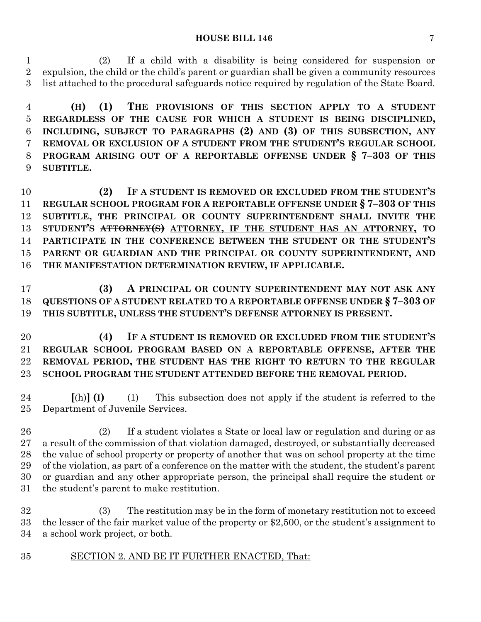#### **HOUSE BILL 146** 7

 (2) If a child with a disability is being considered for suspension or expulsion, the child or the child's parent or guardian shall be given a community resources list attached to the procedural safeguards notice required by regulation of the State Board.

 **(H) (1) THE PROVISIONS OF THIS SECTION APPLY TO A STUDENT REGARDLESS OF THE CAUSE FOR WHICH A STUDENT IS BEING DISCIPLINED, INCLUDING, SUBJECT TO PARAGRAPHS (2) AND (3) OF THIS SUBSECTION, ANY REMOVAL OR EXCLUSION OF A STUDENT FROM THE STUDENT'S REGULAR SCHOOL PROGRAM ARISING OUT OF A REPORTABLE OFFENSE UNDER § 7–303 OF THIS SUBTITLE.**

 **(2) IF A STUDENT IS REMOVED OR EXCLUDED FROM THE STUDENT'S REGULAR SCHOOL PROGRAM FOR A REPORTABLE OFFENSE UNDER § 7–303 OF THIS SUBTITLE, THE PRINCIPAL OR COUNTY SUPERINTENDENT SHALL INVITE THE STUDENT'S ATTORNEY(S) ATTORNEY, IF THE STUDENT HAS AN ATTORNEY, TO PARTICIPATE IN THE CONFERENCE BETWEEN THE STUDENT OR THE STUDENT'S PARENT OR GUARDIAN AND THE PRINCIPAL OR COUNTY SUPERINTENDENT, AND THE MANIFESTATION DETERMINATION REVIEW, IF APPLICABLE.**

 **(3) A PRINCIPAL OR COUNTY SUPERINTENDENT MAY NOT ASK ANY QUESTIONS OF A STUDENT RELATED TO A REPORTABLE OFFENSE UNDER § 7–303 OF THIS SUBTITLE, UNLESS THE STUDENT'S DEFENSE ATTORNEY IS PRESENT.**

 **(4) IF A STUDENT IS REMOVED OR EXCLUDED FROM THE STUDENT'S REGULAR SCHOOL PROGRAM BASED ON A REPORTABLE OFFENSE, AFTER THE REMOVAL PERIOD, THE STUDENT HAS THE RIGHT TO RETURN TO THE REGULAR SCHOOL PROGRAM THE STUDENT ATTENDED BEFORE THE REMOVAL PERIOD.**

 **[**(h)**] (I)** (1) This subsection does not apply if the student is referred to the Department of Juvenile Services.

 (2) If a student violates a State or local law or regulation and during or as a result of the commission of that violation damaged, destroyed, or substantially decreased the value of school property or property of another that was on school property at the time of the violation, as part of a conference on the matter with the student, the student's parent or guardian and any other appropriate person, the principal shall require the student or the student's parent to make restitution.

 (3) The restitution may be in the form of monetary restitution not to exceed the lesser of the fair market value of the property or \$2,500, or the student's assignment to a school work project, or both.

SECTION 2. AND BE IT FURTHER ENACTED, That: